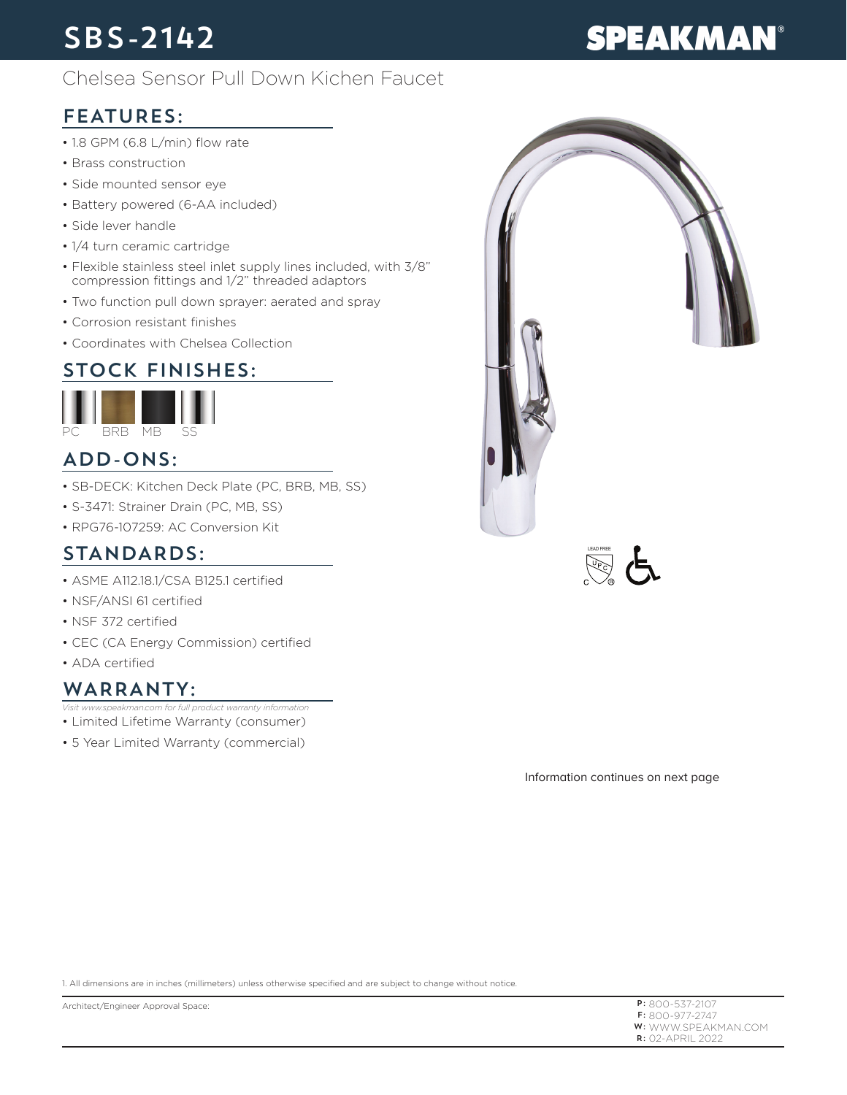## SBS-2142

# **SPEAKMAN®**

#### Chelsea Sensor Pull Down Kichen Faucet

### FEATURES:

- 1.8 GPM (6.8 L/min) flow rate
- Brass construction
- Side mounted sensor eye
- Battery powered (6-AA included)
- Side lever handle
- 1/4 turn ceramic cartridge
- Flexible stainless steel inlet supply lines included, with 3/8" compression fittings and 1/2" threaded adaptors
- Two function pull down sprayer: aerated and spray
- Corrosion resistant finishes
- Coordinates with Chelsea Collection

### STOCK FINISHES:



#### ADD-ONS:

- SB-DECK: Kitchen Deck Plate (PC, BRB, MB, SS)
- S-3471: Strainer Drain (PC, MB, SS)
- RPG76-107259: AC Conversion Kit

#### STANDARDS:

- ASME A112.18.1/CSA B125.1 certified
- NSF/ANSI 61 certified
- NSF 372 certified
- CEC (CA Energy Commission) certified
- ADA certified

#### WARRANTY:

- *Visit www.speakman.com for full product warranty information*
- Limited Lifetime Warranty (consumer)
- 5 Year Limited Warranty (commercial)





Information continues on next page

1. All dimensions are in inches (millimeters) unless otherwise specified and are subject to change without notice.

P: 800-537-2107 F: 800-977-2747 **W:** WWW.SPEAKMAN.COM R: 02-APRIL 2022